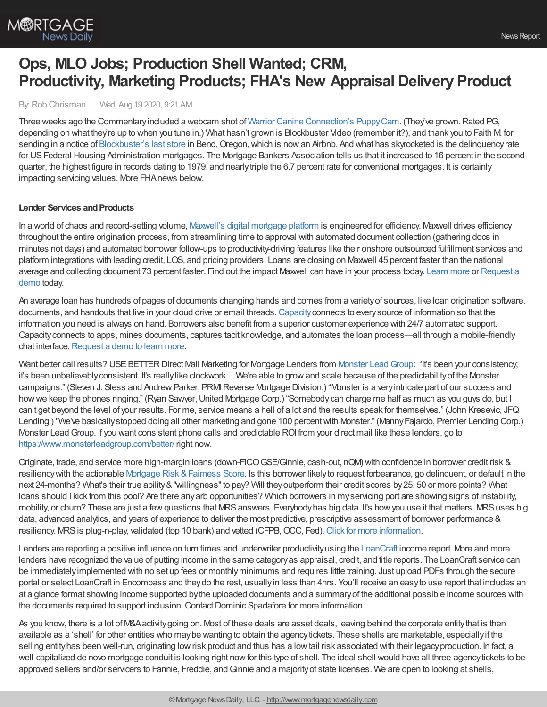

# **Ops, MLO Jobs; Production Shell Wanted; CRM, Productivity, Marketing Products; FHA's New Appraisal Delivery Product**

By:Rob Chrisman | Wed, Aug 19 2020, 9:21 AM

Three weeks ago the Commentary included a webcam shot of Warrior Canine [Connection's](https://explore.org/livecams/warrior-canine-connection/service-puppy-cam-3) PuppyCam. (They've grown. Rated PG, depending on what they're up to when you tune in.) What hasn't grown is Blockbuster Video (remember it?), and thank you to Faith M for sending in a notice of [Blockbuster's](https://www.countryliving.com/life/a33585540/last-blockbuster-store-airbnb-oregon) last store in Bend, Oregon, which is now an Arbnb. And what has skyrocketed is the delinquency rate for US Federal Housing Administration mortgages. The Mortgage Bankers Association tells us that it increased to 16 percent in the second quarter, the highest figure in records dating to 1979, and nearlytriple the 6.7 percent rate for conventional mortgages. It is certainly impacting servicing values. More FHAnews below.

### **Lender Services and Products**

In a world of chaos and record-setting volume, Maxwell's digital [mortgage](https://himaxwell.com/?utm_source=RC&utm_medium=RC_CTA) platform is engineered for efficiency. Maxwell drives efficiency throughout the entire origination process, from streamlining time to approval with automated document collection (gathering docs in minutes not days) and automated borrower follow-ups to productivity-driving features like their onshore outsourced fulfillment services and platform integrations with leading credit, LOS, and pricing providers. Loans are closing on Maxwell 45 percent faster than the national average and collecting [document](https://himaxwell.com/request-a-demo?utm_source=RC&utm_medium=RC_CTA) 73 percent faster. Find out the impact Maxwell can have in your process today. [Learn](https://himaxwell.com/?utm_source=RC&utm_medium=RC_CTA) more or Request a demo today.

An average loan has hundreds of pages of documents changing hands and comes from a varietyof sources, like loan origination software, documents, and handouts that live in your cloud drive or email threads.[Capacity](https://capacity.com/mortgage?utm_campaign=rc_ad&utm_source=rc&utm_medium=referral)connects to everysource of information so that the information you need is always on hand. Borrowers also benefit from a superior customer experience with 24/7 automated support. Capacityconnects to apps, mines documents, captures tacit knowledge, and automates the loan process—all through a mobile-friendly chat interface. [Request](https://capacity.com/request-a-demo/) a demo to learn more.

Want better call results? USE BETTER Direct Mail Marketing for Mortgage Lenders from Monster Lead Group: "It's been your consistency; it's been unbelievablyconsistent. It's reallylike clockwork…We're able to growand scale because of the predictabilityof the Monster campaigns." (Steven J. Sless and Andrew Parker, PRMI Reverse Mortgage Division.) "Monster is a very intricate part of our success and how we keep the phones ringing." (Ryan Sawyer, United Mortgage Corp.) "Somebody can charge me half as much as you guys do, but I can't get beyond the level of your results. For me, service means a hell of a lot and the results speak for themselves." (John Kresevic, JFQ Lending.) "We've basically stopped doing all other marketing and gone 100 percent with Monster." (Manny Fajardo, Premier Lending Corp.) Monster LeadGroup. If you want consistent phone calls and predictable ROI from your direct mail like these lenders, go to <https://www.monsterleadgroup.com/better/> right now.

Originate, trade, and service more high-margin loans (down-FICOGSE/Ginnie, cash-out, nQM) with confidence in borrower credit risk & resiliency with the actionable Mortgage Risk & Fairness Score. Is this borrower likely to request forbearance, go delinquent, or default in the next 24-months? What's their true ability&"willingness"to pay? Will theyoutperform their credit scores by25, 50 or more points? What loans should I kick from this pool? Are there any arb opportunities? Which borrowers in my servicing port are showing signs of instability, mobility, or churn? These are just a few questions that MRS answers. Everybody has big data. It's how you use it that matters. MRS uses big data, advanced analytics, and years of experience to deliver the most predictive, prescriptive assessment of borrower performance & resiliency. MRS is plug-n-play, validated (top 10 bank) and vetted (CFPB, OCC, Fed). Click for more [information](https://aliyamortgage.com/mortgage-risk-score/).

Lenders are reporting a positive influence on turn times and underwriter productivity using the [LoanCraft](http://www.loancraft.net/) income report. More and more lenders have recognized the value of putting income in the same categoryas appraisal, credit, and title reports. The LoanCraft service can be immediatelyimplemented with no set up fees or monthlyminimums and requires little training. Just upload PDFs through the secure portal or select LoanCraft in Encompass and theydo the rest, usuallyin less than 4hrs. You'll receive an easyto use report that includes an at a glance format showing income supported bythe uploaded documents and a summaryof the additional possible income sources with the documents required to support inclusion.ContactDominic Spadafore for more information.

As you know, there is a lot of M&Aactivitygoing on. Most of these deals are asset deals, leaving behind the corporate entitythat is then available as a 'shell' for other entities who maybe wanting to obtain the agencytickets. These shells are marketable, especiallyif the selling entityhas been well-run, originating lowrisk product and thus has a lowtail risk associated with their legacyproduction. In fact, a well-capitalized de novo mortgage conduit is looking right now for this type of shell. The ideal shell would have all three-agency tickets to be approved sellers and/or servicers to Fannie, Freddie, andGinnie and a majorityof state licenses. We are open to looking at shells,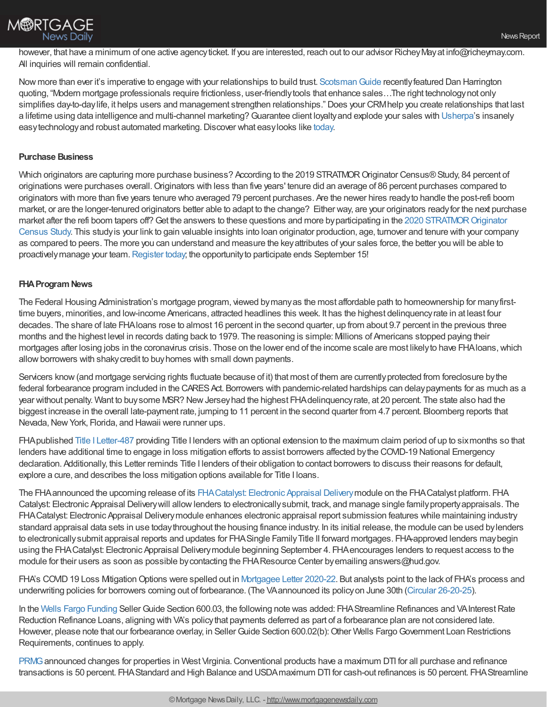

however, that have a minimum of one active agency ticket. If you are interested, reach out to our advisor Richey May at info@richeymay.com. All inquiries will remain confidential.

Now more than ever it's imperative to engage with your relationships to build trust. Scotsman Guide recently featured Dan Harrington quoting, "Modern mortgage professionals require frictionless, user-friendlytools that enhance sales…The right technologynot only simplifies day-to-day life, it helps users and management strengthen relationships." Does your CRMhelp you create relationships that last a lifetime using data intelligence and multi-channel marketing?Guarantee client loyaltyand explode your sales with [Usherpa](https://bit.ly/3dEuD8C)'s insanely easy technology and robust automated marketing. Discover what easy looks like [today.](https://bit.ly/3h9bTjr)

## **Purchase Business**

Which originators are capturing more purchase business? According to the 2019 STRATMOR Originator Census® Study, 84 percent of originations were purchases overall.Originators with less than five years' tenure did an average of 86 percent purchases compared to originators with more than five years tenure who averaged 79 percent purchases. Are the newer hires readyto handle the post-refi boom market, or are the longer-tenured originators better able to adapt to the change? Either way, are your originators readyfor the next purchase market after the refi boom tapers off? Get the answers to these questions and more by participating in the 2020 STRATMOR Originator Census Study. This studyis your link to gain valuable insights into loan originator production, age, turnover and tenure with your company as compared to peers. The more you can understand and measure the keyattributes of your sales force, the better you will be able to proactively manage your team. [Register](https://www.stratmorprograms.com/2020CensusRegistration) today; the opportunity to participate ends September 15!

### **FHA Program News**

The Federal Housing Administration's mortgage program, viewed bymanyas the most affordable path to homeownership for manyfirsttime buyers, minorities, and low-income Americans, attracted headlines this week. It has the highest delinquencyrate in at least four decades. The share of late FHAloans rose to almost 16 percent in the second quarter, up from about 9.7 percent in the previous three months and the highest level in records dating back to 1979. The reasoning is simple: Millions of Americans stopped paying their mortgages after losing jobs in the coronavirus crisis. Those on the lower end of the income scale are most likely to have FHA loans, which allow borrowers with shaky credit to buy homes with small down payments.

Servicers know (and mortgage servicing rights fluctuate because of it) that most of them are currently protected from foreclosure by the federal forbearance program included in the CARES Act. Borrowers with pandemic-related hardships can delay payments for as much as a year without penalty. Want to buysome MSR? NewJerseyhad the highest FHAdelinquencyrate, at 20 percent. The state also had the biggest increase in the overall late-payment rate, jumping to 11 percent in the second quarter from 4.7 percent. Bloomberg reports that Nevada, New York, Florida, and Hawaii were runner ups.

FHA published Title I [Letter-487](https://www.hud.gov/sites/dfiles/OCHCO/documents/Title487.pdf) providing Title I lenders with an optional extension to the maximum claim period of up to six months so that lenders have additional time to engage in loss mitigation efforts to assist borrowers affected bythe COVID-19 National Emergency declaration. Additionally, this Letter reminds Title I lenders of their obligation to contact borrowers to discuss their reasons for default, explore a cure, and describes the loss mitigation options available for Title I loans.

The FHAannounced the upcoming release of its [FHACatalyst:](https://u7061146.ct.sendgrid.net/ls/click?upn=4tNED-2FM8iDZJQyQ53jATUWyFzLuDly2RaCb-2FixnvQHYJuAotlinLxfZ4NURhClN5znHsKqthKWsOezQGwwJm6QNWEbUE9f3FHYVeYiCr4jA-3DMEbO_nsxRNYUkMXYB3IyH-2Bw28TYELoM9YpzOtXrrlppkfzFjGpZbwd0bLMcf2RIKlkpDjzuzdEkZgB6GAqVrUtatnD6EjhSzi0j0DhLATbiwSrOCyOhynHDGNEUH4bgLb5sGwjTQDDVCUUM8Fn0iLPbP-2Bjv7wBZMoDTvOTRpNzJuHDYk2pTxJlMTNhgyYWcCl8BItXx09QVD-2Fyz3v9NzUQ28ZUSMNcvbrXEJUbfj-2FG6N5FS-2BjCcxWOeQt5v-2B8Z2ICQq1im6eq-2BOL9V3J1nRyIkJOKkPakAV8HxNZuZyapBPWpMctxpasjqTxUn2zy-2BKOKi-2FQpHsX9-2BvXaIhfuw-2Fx0bit0KBaA07WFHMxLsLw15aLr-2BHM-3D) Electronic Appraisal Deliverymodule on the FHACatalyst platform. FHA Catalyst: Electronic Appraisal Delivery will allow lenders to electronically submit, track, and manage single family property appraisals. The FHACatalyst: Electronic Appraisal Deliverymodule enhances electronic appraisal report submission features while maintaining industry standard appraisal data sets in use todaythroughout the housing finance industry. In its initial release, the module can be used bylenders to electronically submit appraisal reports and updates for FHA Single Family Title II forward mortgages. FHA-approved lenders may begin using the FHACatalyst: Electronic Appraisal Deliverymodule beginning September 4. FHAencourages lenders to request access to the module for their users as soon as possible by contacting the FHA Resource Center by emailing answers@hud.gov.

FHA's COVID 19 Loss Mitigation Options were spelled out in [Mortgagee](https://www.hud.gov/sites/dfiles/OCHCO/documents/20-22hsgml.pdf) Letter 2020-22. But analysts point to the lack of FHA's process and underwriting policies for borrowers coming out of forbearance. (The VAannounced its policyon June 30th (Circular [26-20-25](https://www.benefits.va.gov/HOMELOANS/documents/circulars/26-20-25.pdf)).

In the Wells Fargo [Funding](https://wffnet.wellsfargo.com/ildocs/load?docID=209) Seller Guide Section 600.03, the following note was added: FHA Streamline Refinances and VA Interest Rate Reduction Refinance Loans, aligning with VA's policythat payments deferred as part of a forbearance plan are not considered late. However, please note that our forbearance overlay, in Seller Guide Section 600.02(b): Other Wells Fargo Government Loan Restrictions Requirements, continues to apply.

[PRMG](https://www.prmg.net/seller-resources/) announced changes for properties in West Virginia. Conventional products have a maximum DTI for all purchase and refinance transactions is 50 percent. FHAStandard and High Balance and USDAmaximum DTI for cash-out refinances is 50 percent. FHAStreamline